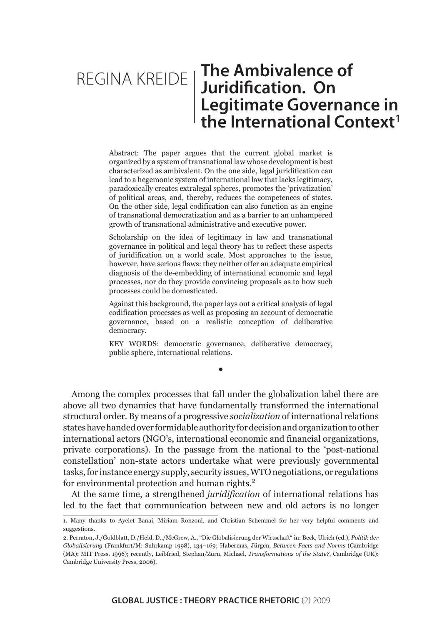# REGINA KREIDE | The Ambivalence of **Juridification. On Legitimate Governance in**  the International Context<sup>1</sup>

Abstract: The paper argues that the current global market is organized by a system of transnational law whose development is best characterized as ambivalent. On the one side, legal juridification can lead to a hegemonic system of international law that lacks legitimacy, paradoxically creates extralegal spheres, promotes the 'privatization' of political areas, and, thereby, reduces the competences of states. On the other side, legal codification can also function as an engine of transnational democratization and as a barrier to an unhampered growth of transnational administrative and executive power.

Scholarship on the idea of legitimacy in law and transnational governance in political and legal theory has to reflect these aspects of juridification on a world scale. Most approaches to the issue, however, have serious flaws: they neither offer an adequate empirical diagnosis of the de-embedding of international economic and legal processes, nor do they provide convincing proposals as to how such processes could be domesticated.

Against this background, the paper lays out a critical analysis of legal codification processes as well as proposing an account of democratic governance, based on a realistic conception of deliberative democracy.

KEY WORDS: democratic governance, deliberative democracy, public sphere, international relations.

•

Among the complex processes that fall under the globalization label there are above all two dynamics that have fundamentally transformed the international structural order. By means of a progressive *socialization* of international relations states have handed over formidable authority for decision and organization to other international actors (NGO's, international economic and financial organizations, private corporations). In the passage from the national to the 'post-national constellation' non-state actors undertake what were previously governmental tasks, for instance energy supply, security issues, WTO negotiations, or regulations for environmental protection and human rights.<sup>2</sup>

At the same time, a strengthened *juridification* of international relations has led to the fact that communication between new and old actors is no longer

<sup>1.</sup> Many thanks to Ayelet Banai, Miriam Ronzoni, and Christian Schemmel for her very helpful comments and suggestions.

<sup>2.</sup> Perraton, J./Goldblatt, D./Held, D.,/McGrew, A., "Die Globalisierung der Wirtschaft" in: Beck, Ulrich (ed.), *Politik der Globalisierung* (Frankfurt/M: Suhrkamp 1998), 134–169; Habermas, Jürgen, *Between Facts and Norms* (Cambridge (MA): MIT Press, 1996); recently, Leibfried, Stephan/Zürn, Michael, *Transformations of the State?*, Cambridge (UK): Cambridge University Press, 2006).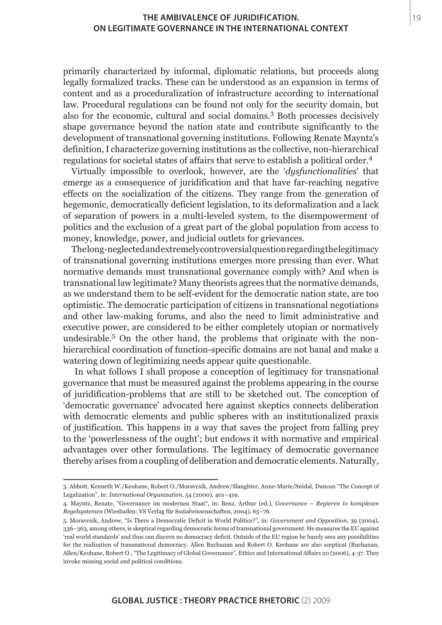primarily characterized by informal, diplomatic relations, but proceeds along legally formalized tracks. These can be understood as an expansion in terms of content and as a proceduralization of infrastructure according to international law. Procedural regulations can be found not only for the security domain, but also for the economic, cultural and social domains.3 Both processes decisively shape governance beyond the nation state and contribute significantly to the development of transnational governing institutions. Following Renate Mayntz's definition, I characterize governing institutions as the collective, non-hierarchical regulations for societal states of affairs that serve to establish a political order.<sup>4</sup>

Virtually impossible to overlook, however, are the '*dysfunctionalities*' that emerge as a consequence of juridification and that have far-reaching negative effects on the socialization of the citizens. They range from the generation of hegemonic, democratically deficient legislation, to its deformalization and a lack of separation of powers in a multi-leveled system, to the disempowerment of politics and the exclusion of a great part of the global population from access to money, knowledge, power, and judicial outlets for grievances.

The long-neglected and extremely controversial question regarding the legitimacy of transnational governing institutions emerges more pressing than ever. What normative demands must transnational governance comply with? And when is transnational law legitimate? Many theorists agrees that the normative demands, as we understand them to be self-evident for the democratic nation state, are too optimistic. The democratic participation of citizens in transnational negotiations and other law-making forums, and also the need to limit administrative and executive power, are considered to be either completely utopian or normatively undesirable.<sup>5</sup> On the other hand, the problems that originate with the nonhierarchical coordination of function-specific domains are not banal and make a watering down of legitimizing needs appear quite questionable.

 In what follows I shall propose a conception of legitimacy for transnational governance that must be measured against the problems appearing in the course of juridification-problems that are still to be sketched out. The conception of 'democratic governance' advocated here against skeptics connects deliberation with democratic elements and public spheres with an institutionalized praxis of justification. This happens in a way that saves the project from falling prey to the 'powerlessness of the ought'; but endows it with normative and empirical advantages over other formulations. The legitimacy of democratic governance thereby arises from a coupling of deliberation and democratic elements. Naturally,

<sup>3.</sup> Abbott, Kenneth W./Keohane, Robert O./Moravcsik, Andrew/Slaughter, Anne-Marie/Snidal, Duncan "The Concept of Legalization", in: *International Organization*, 54 (2000), 401–419.

<sup>4.</sup> Mayntz, Renate, "Governance im modernen Staat", in: Benz, Arthur (ed.), *Governance – Regieren in komplexen Regelsystemen* (Wiesbaden: VS Verlag für Sozialwissenschaften, 2004), 65–76.

<sup>5.</sup> Moravcsik, Andrew, "Is There a Democratic Deficit in World Politics?", in: *Government and Opposition*, 39 (2004), 336–363, among others, is skeptical regarding democratic forms of transnational government. He measures the EU against 'real world standards' and thus can discern no democracy deficit. Outside of the EU region he barely sees any possibilities for the realization of transnational democracy. Allen Buchanan and Robert O. Keohane are also sceptical (Buchanan, Allen/Keohane, Robert O., "The Legitimacy of Global Governance", Ethics and International Affairs 20 (2006), 4-37. They invoke missing social and political conditions.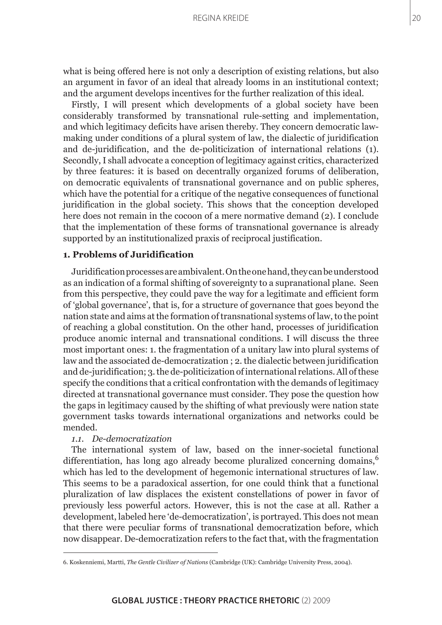what is being offered here is not only a description of existing relations, but also an argument in favor of an ideal that already looms in an institutional context; and the argument develops incentives for the further realization of this ideal.

Firstly, I will present which developments of a global society have been considerably transformed by transnational rule-setting and implementation, and which legitimacy deficits have arisen thereby. They concern democratic lawmaking under conditions of a plural system of law, the dialectic of juridification and de-juridification, and the de-politicization of international relations (1). Secondly, I shall advocate a conception of legitimacy against critics, characterized by three features: it is based on decentrally organized forums of deliberation, on democratic equivalents of transnational governance and on public spheres, which have the potential for a critique of the negative consequences of functional juridification in the global society. This shows that the conception developed here does not remain in the cocoon of a mere normative demand (2). I conclude that the implementation of these forms of transnational governance is already supported by an institutionalized praxis of reciprocal justification.

## **1. Problems of Juridification**

Juridification processes are ambivalent. On the one hand, they can be understood as an indication of a formal shifting of sovereignty to a supranational plane. Seen from this perspective, they could pave the way for a legitimate and efficient form of 'global governance', that is, for a structure of governance that goes beyond the nation state and aims at the formation of transnational systems of law, to the point of reaching a global constitution. On the other hand, processes of juridification produce anomic internal and transnational conditions. I will discuss the three most important ones: 1. the fragmentation of a unitary law into plural systems of law and the associated de-democratization ; 2. the dialectic between juridification and de-juridification; 3. the de-politicization of international relations. All of these specify the conditions that a critical confrontation with the demands of legitimacy directed at transnational governance must consider. They pose the question how the gaps in legitimacy caused by the shifting of what previously were nation state government tasks towards international organizations and networks could be mended.

## *1.1. De-democratization*

The international system of law, based on the inner-societal functional differentiation, has long ago already become pluralized concerning domains,<sup>6</sup> which has led to the development of hegemonic international structures of law. This seems to be a paradoxical assertion, for one could think that a functional pluralization of law displaces the existent constellations of power in favor of previously less powerful actors. However, this is not the case at all. Rather a development, labeled here 'de-democratization', is portrayed. This does not mean that there were peculiar forms of transnational democratization before, which now disappear. De-democratization refers to the fact that, with the fragmentation

<sup>6.</sup> Koskenniemi, Martti, *The Gentle Civilizer of Nations* (Cambridge (UK): Cambridge University Press, 2004).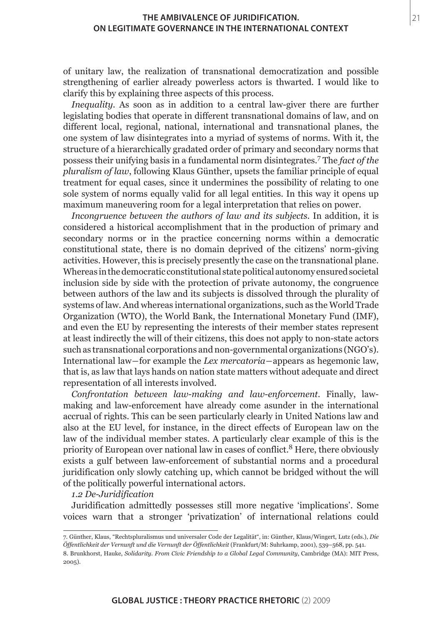of unitary law, the realization of transnational democratization and possible strengthening of earlier already powerless actors is thwarted. I would like to clarify this by explaining three aspects of this process.

*Inequality*. As soon as in addition to a central law-giver there are further legislating bodies that operate in different transnational domains of law, and on different local, regional, national, international and transnational planes, the one system of law disintegrates into a myriad of systems of norms. With it, the structure of a hierarchically gradated order of primary and secondary norms that possess their unifying basis in a fundamental norm disintegrates.<sup>7</sup> The *fact of the pluralism of law*, following Klaus Günther, upsets the familiar principle of equal treatment for equal cases, since it undermines the possibility of relating to one sole system of norms equally valid for all legal entities. In this way it opens up maximum maneuvering room for a legal interpretation that relies on power.

*Incongruence between the authors of law and its subjects.* In addition, it is considered a historical accomplishment that in the production of primary and secondary norms or in the practice concerning norms within a democratic constitutional state, there is no domain deprived of the citizens' norm-giving activities. However, this is precisely presently the case on the transnational plane. Whereas in the democratic constitutional state political autonomy ensured societal inclusion side by side with the protection of private autonomy, the congruence between authors of the law and its subjects is dissolved through the plurality of systems of law. And whereas international organizations, such as the World Trade Organization (WTO), the World Bank, the International Monetary Fund (IMF), and even the EU by representing the interests of their member states represent at least indirectly the will of their citizens, this does not apply to non-state actors such as transnational corporations and non-governmental organizations (NGO's). International law―for example the *Lex mercatoria*―appears as hegemonic law, that is, as law that lays hands on nation state matters without adequate and direct representation of all interests involved.

*Confrontation between law-making and law-enforcement.* Finally, lawmaking and law-enforcement have already come asunder in the international accrual of rights. This can be seen particularly clearly in United Nations law and also at the EU level, for instance, in the direct effects of European law on the law of the individual member states. A particularly clear example of this is the priority of European over national law in cases of conflict.<sup>8</sup> Here, there obviously exists a gulf between law-enforcement of substantial norms and a procedural juridification only slowly catching up, which cannot be bridged without the will of the politically powerful international actors.

## *1.2 De-Juridification*

Juridification admittedly possesses still more negative 'implications'. Some voices warn that a stronger 'privatization' of international relations could

<sup>7.</sup> Günther, Klaus, "Rechtspluralismus und universaler Code der Legalität", in: Günther, Klaus/Wingert, Lutz (eds.), *Die Öffentlichkeit der Vernunft und die Vernunft der Öffentlichkeit* (Frankfurt/M: Suhrkamp, 2001), 539–568, pp. 541.

<sup>8.</sup> Brunkhorst, Hauke, *Solidarity. From Civic Friendship to a Global Legal Community*, Cambridge (MA): MIT Press, 2005).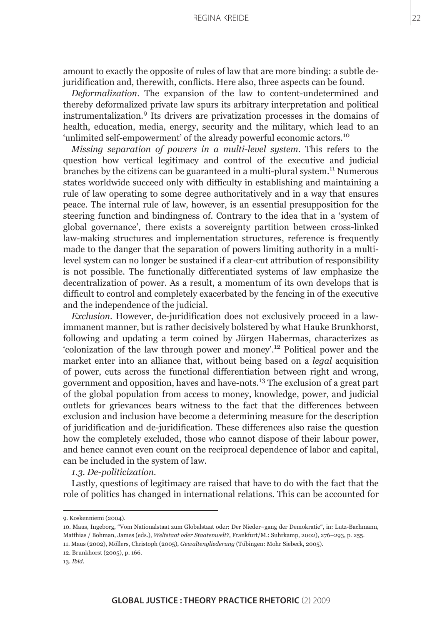amount to exactly the opposite of rules of law that are more binding: a subtle dejuridification and, therewith, conflicts. Here also, three aspects can be found.

*Deformalization*. The expansion of the law to content-undetermined and thereby deformalized private law spurs its arbitrary interpretation and political instrumentalization.<sup>9</sup> Its drivers are privatization processes in the domains of health, education, media, energy, security and the military, which lead to an 'unlimited self-empowerment' of the already powerful economic actors.<sup>10</sup>

*Missing separation of powers in a multi-level system.* This refers to the question how vertical legitimacy and control of the executive and judicial branches by the citizens can be guaranteed in a multi-plural system.<sup>11</sup> Numerous states worldwide succeed only with difficulty in establishing and maintaining a rule of law operating to some degree authoritatively and in a way that ensures peace. The internal rule of law, however, is an essential presupposition for the steering function and bindingness of. Contrary to the idea that in a 'system of global governance', there exists a sovereignty partition between cross-linked law-making structures and implementation structures, reference is frequently made to the danger that the separation of powers limiting authority in a multilevel system can no longer be sustained if a clear-cut attribution of responsibility is not possible. The functionally differentiated systems of law emphasize the decentralization of power. As a result, a momentum of its own develops that is difficult to control and completely exacerbated by the fencing in of the executive and the independence of the judicial.

*Exclusion*. However, de-juridification does not exclusively proceed in a lawimmanent manner, but is rather decisively bolstered by what Hauke Brunkhorst, following and updating a term coined by Jürgen Habermas, characterizes as 'colonization of the law through power and money'.12 Political power and the market enter into an alliance that, without being based on a *legal* acquisition of power, cuts across the functional differentiation between right and wrong, government and opposition, haves and have-nots.13 The exclusion of a great part of the global population from access to money, knowledge, power, and judicial outlets for grievances bears witness to the fact that the differences between exclusion and inclusion have become a determining measure for the description of juridification and de-juridification. These differences also raise the question how the completely excluded, those who cannot dispose of their labour power, and hence cannot even count on the reciprocal dependence of labor and capital, can be included in the system of law.

## *1.3. De-politicization.*

Lastly, questions of legitimacy are raised that have to do with the fact that the role of politics has changed in international relations. This can be accounted for

12. Brunkhorst (2005), p. 166.

<sup>9.</sup> Koskenniemi (2004).

<sup>10.</sup> Maus, Ingeborg, "Vom Nationalstaat zum Globalstaat oder: Der Nieder¬gang der Demokratie", in: Lutz-Bachmann, Matthias / Bohman, James (eds.), *Weltstaat oder Staatenwelt?*, Frankfurt/M.: Suhrkamp, 2002), 276–293, p. 255.

<sup>11.</sup> Maus (2002), Möllers, Christoph (2005), *Gewaltengliederung* (Tübingen: Mohr Siebeck, 2005).

<sup>13.</sup> *Ibid*.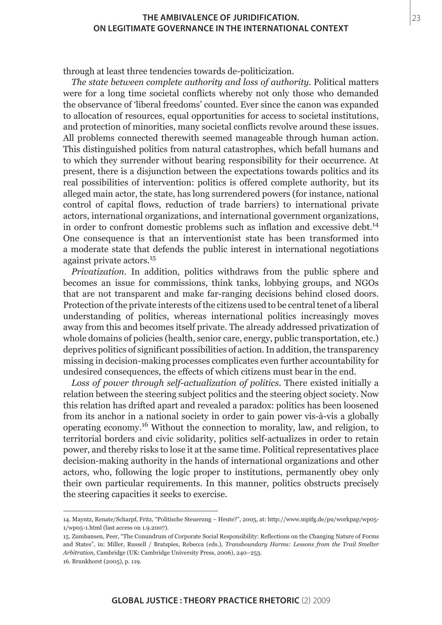through at least three tendencies towards de-politicization.

*The state between complete authority and loss of authority.* Political matters were for a long time societal conflicts whereby not only those who demanded the observance of 'liberal freedoms' counted. Ever since the canon was expanded to allocation of resources, equal opportunities for access to societal institutions, and protection of minorities, many societal conflicts revolve around these issues. All problems connected therewith seemed manageable through human action. This distinguished politics from natural catastrophes, which befall humans and to which they surrender without bearing responsibility for their occurrence. At present, there is a disjunction between the expectations towards politics and its real possibilities of intervention: politics is offered complete authority, but its alleged main actor, the state, has long surrendered powers (for instance, national control of capital flows, reduction of trade barriers) to international private actors, international organizations, and international government organizations, in order to confront domestic problems such as inflation and excessive debt.<sup>14</sup> One consequence is that an interventionist state has been transformed into a moderate state that defends the public interest in international negotiations against private actors.<sup>15</sup>

*Privatization*. In addition, politics withdraws from the public sphere and becomes an issue for commissions, think tanks, lobbying groups, and NGOs that are not transparent and make far-ranging decisions behind closed doors. Protection of the private interests of the citizens used to be central tenet of a liberal understanding of politics, whereas international politics increasingly moves away from this and becomes itself private. The already addressed privatization of whole domains of policies (health, senior care, energy, public transportation, etc.) deprives politics of significant possibilities of action. In addition, the transparency missing in decision-making processes complicates even further accountability for undesired consequences, the effects of which citizens must bear in the end.

*Loss of power through self-actualization of politics.* There existed initially a relation between the steering subject politics and the steering object society. Now this relation has drifted apart and revealed a paradox: politics has been loosened from its anchor in a national society in order to gain power vis-à-vis a globally operating economy.16 Without the connection to morality, law, and religion, to territorial borders and civic solidarity, politics self-actualizes in order to retain power, and thereby risks to lose it at the same time. Political representatives place decision-making authority in the hands of international organizations and other actors, who, following the logic proper to institutions, permanently obey only their own particular requirements. In this manner, politics obstructs precisely the steering capacities it seeks to exercise.

<sup>14.</sup> Mayntz, Renate/Scharpf, Fritz, "Politische Steuerung – Heute?", 2005, at: http://www.mpifg.de/pu/workpap/wp05- 1/wp05-1.html (last access on 1.9.2007).

<sup>15.</sup> Zumbansen, Peer, "The Conundrum of Corporate Social Responsibility: Reflections on the Changing Nature of Forms and States", in: Miller, Russell / Bratspies, Rebecca (eds.), *Transboundary Harms: Lessons from the Trail Smelter Arbitration*, Cambridge (UK: Cambridge University Press, 2006), 240–253.

<sup>16.</sup> Brunkhorst (2005), p. 119.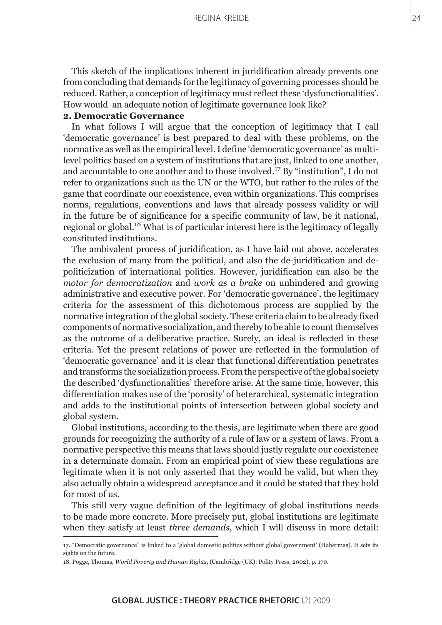This sketch of the implications inherent in juridification already prevents one from concluding that demands for the legitimacy of governing processes should be reduced. Rather, a conception of legitimacy must reflect these 'dysfunctionalities'. How would an adequate notion of legitimate governance look like?

## **2. Democratic Governance**

In what follows I will argue that the conception of legitimacy that I call 'democratic governance' is best prepared to deal with these problems, on the normative as well as the empirical level. I define 'democratic governance' as multilevel politics based on a system of institutions that are just, linked to one another, and accountable to one another and to those involved.17 By "institution", I do not refer to organizations such as the UN or the WTO, but rather to the rules of the game that coordinate our coexistence, even within organizations. This comprises norms, regulations, conventions and laws that already possess validity or will in the future be of significance for a specific community of law, be it national, regional or global.18 What is of particular interest here is the legitimacy of legally constituted institutions.

The ambivalent process of juridification, as I have laid out above, accelerates the exclusion of many from the political, and also the de-juridification and depoliticization of international politics. However, juridification can also be the *motor for democratization* and *work as a brake* on unhindered and growing administrative and executive power. For 'democratic governance', the legitimacy criteria for the assessment of this dichotomous process are supplied by the normative integration of the global society. These criteria claim to be already fixed components of normative socialization, and thereby to be able to count themselves as the outcome of a deliberative practice. Surely, an ideal is reflected in these criteria. Yet the present relations of power are reflected in the formulation of 'democratic governance' and it is clear that functional differentiation penetrates and transforms the socialization process. From the perspective of the global society the described 'dysfunctionalities' therefore arise. At the same time, however, this differentiation makes use of the 'porosity' of heterarchical, systematic integration and adds to the institutional points of intersection between global society and global system.

Global institutions, according to the thesis, are legitimate when there are good grounds for recognizing the authority of a rule of law or a system of laws. From a normative perspective this means that laws should justly regulate our coexistence in a determinate domain. From an empirical point of view these regulations are legitimate when it is not only asserted that they would be valid, but when they also actually obtain a widespread acceptance and it could be stated that they hold for most of us.

This still very vague definition of the legitimacy of global institutions needs to be made more concrete. More precisely put, global institutions are legitimate when they satisfy at least *three demands*, which I will discuss in more detail: 24

<sup>17. &</sup>quot;Democratic governance" is linked to a 'global domestic politics without global government' (Habermas). It sets its sights on the future.

<sup>18.</sup> Pogge, Thomas, *World Poverty and Human Rights*, (Cambridge (UK): Polity Press, 2002), p. 170.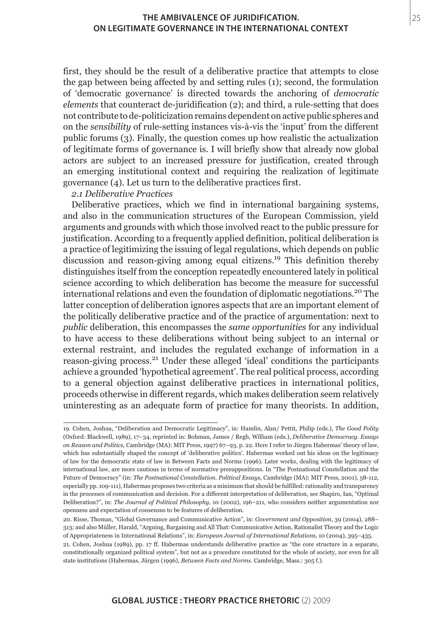first, they should be the result of a deliberative practice that attempts to close the gap between being affected by and setting rules (1); second, the formulation of 'democratic governance' is directed towards the anchoring of *democratic elements* that counteract de-juridification (2); and third, a rule-setting that does not contribute to de-politicization remains dependent on active public spheres and on the *sensibility* of rule-setting instances vis-à-vis the 'input' from the different public forums (3). Finally, the question comes up how realistic the actualization of legitimate forms of governance is. I will briefly show that already now global actors are subject to an increased pressure for justification, created through an emerging institutional context and requiring the realization of legitimate governance (4). Let us turn to the deliberative practices first.

*2.1 Deliberative Practices*

Deliberative practices, which we find in international bargaining systems, and also in the communication structures of the European Commission, yield arguments and grounds with which those involved react to the public pressure for justification. According to a frequently applied definition, political deliberation is a practice of legitimizing the issuing of legal regulations, which depends on public discussion and reason-giving among equal citizens.19 This definition thereby distinguishes itself from the conception repeatedly encountered lately in political science according to which deliberation has become the measure for successful international relations and even the foundation of diplomatic negotiations.20 The latter conception of deliberation ignores aspects that are an important element of the politically deliberative practice and of the practice of argumentation: next to *public* deliberation, this encompasses the *same opportunities* for any individual to have access to these deliberations without being subject to an internal or external restraint, and includes the regulated exchange of information in a reason-giving process.21 Under these alleged 'ideal' conditions the participants achieve a grounded 'hypothetical agreement'. The real political process, according to a general objection against deliberative practices in international politics, proceeds otherwise in different regards, which makes deliberation seem relatively uninteresting as an adequate form of practice for many theorists. In addition,

<sup>19.</sup> Cohen, Joshua, "Deliberation and Democratic Legitimacy", in: Hamlin, Alan/ Pettit, Philip (eds.), *The Good Polity* (Oxford: Blackwell, 1989), 17–34, reprinted in: Bohman, James / Regh, William (eds.), *Deliberative Democracy. Essays on Reason and Politics*, Cambridge (MA): MIT Press, 1997) 67–93, p. 22. Here I refer to Jürgen Habermas' theory of law, which has substantially shaped the concept of 'deliberative politics'. Habermas worked out his ideas on the legitimacy of law for the democratic state of law in Between Facts and Norms (1996). Later works, dealing with the legitimacy of international law, are more cautious in terms of normative presuppositions. In "The Postnational Constellation and the Future of Democracy" (in: *The Postnational Constellation. Political Essays*, Cambridge (MA): MIT Press, 2001), 58-112, especially pp. 109-111), Habermas proposes two criteria as a minimum that should be fulfilled: rationality and transparency in the processes of communication and decision. For a different interpretation of deliberation, see Shapiro, Ian, "Optimal Deliberation?", in: *The Journal of Political Philosophy*, 10 (2002), 196–211, who considers neither argumentation nor openness and expectation of consensus to be features of deliberation.

<sup>20.</sup> Risse, Thomas, "Global Governance and Communicative Action", in: *Government and Opposition*, 39 (2004), 288– 313; and also Müller, Harald, "Arguing, Bargaining and All That: Communicative Action, Rationalist Theory and the Logic of Appropriateness in International Relations", in: *European Journal of International Relations*, 10 (2004), 395–435.

<sup>21.</sup> Cohen, Joshua (1989), pp. 17 ff. Habermas understands deliberative practice as "the core structure in a separate, constitutionally organized political system", but not as a procedure constituted for the whole of society, nor even for all state institutions (Habermas, Jürgen (1996), *Between Facts and Norms*. Cambridge, Mass.: 305 f.).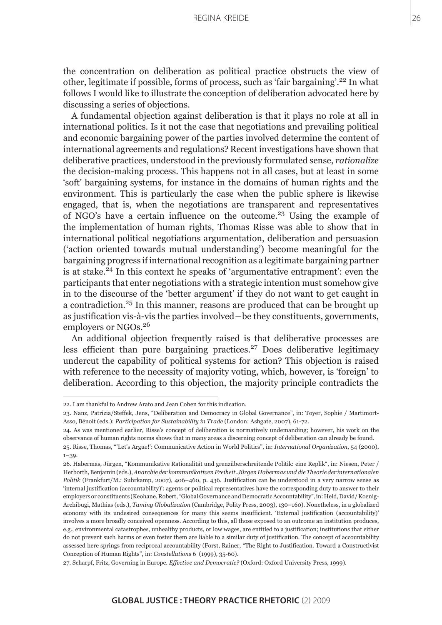#### Regina Kreide

the concentration on deliberation as political practice obstructs the view of other, legitimate if possible, forms of process, such as 'fair bargaining'.22 In what follows I would like to illustrate the conception of deliberation advocated here by discussing a series of objections.

A fundamental objection against deliberation is that it plays no role at all in international politics. Is it not the case that negotiations and prevailing political and economic bargaining power of the parties involved determine the content of international agreements and regulations? Recent investigations have shown that deliberative practices, understood in the previously formulated sense, *rationalize* the decision-making process. This happens not in all cases, but at least in some 'soft' bargaining systems, for instance in the domains of human rights and the environment. This is particularly the case when the public sphere is likewise engaged, that is, when the negotiations are transparent and representatives of NGO's have a certain influence on the outcome.23 Using the example of the implementation of human rights, Thomas Risse was able to show that in international political negotiations argumentation, deliberation and persuasion ('action oriented towards mutual understanding') become meaningful for the bargaining progress if international recognition as a legitimate bargaining partner is at stake.24 In this context he speaks of 'argumentative entrapment': even the participants that enter negotiations with a strategic intention must somehow give in to the discourse of the 'better argument' if they do not want to get caught in a contradiction.<sup>25</sup> In this manner, reasons are produced that can be brought up as justification vis-à-vis the parties involved―be they constituents, governments, employers or NGOs.<sup>26</sup>

An additional objection frequently raised is that deliberative processes are less efficient than pure bargaining practices.27 Does deliberative legitimacy undercut the capability of political systems for action? This objection is raised with reference to the necessity of majority voting, which, however, is 'foreign' to deliberation. According to this objection, the majority principle contradicts the

<sup>22.</sup> I am thankful to Andrew Arato and Jean Cohen for this indication.

<sup>23.</sup> Nanz, Patrizia/Steffek, Jens, "Deliberation and Democracy in Global Governance", in: Toyer, Sophie / Martimort-Asso, Bénoit (eds.): *Participation for Sustainability in Trade* (London: Ashgate, 2007), 61-72.

<sup>24.</sup> As was mentioned earlier, Risse's concept of deliberation is normatively undemanding; however, his work on the observance of human rights norms shows that in many areas a discerning concept of deliberation can already be found.

<sup>25.</sup> Risse, Thomas, "'Let's Argue!': Communicative Action in World Politics", in: *International Organization*, 54 (2000), 1–39.

<sup>26.</sup> Habermas, Jürgen, "Kommunikative Rationalität und grenzüberschreitende Politik: eine Replik", in: Niesen, Peter / Herborth, Benjamin (eds.), *Anarchie der kommunikativen Freiheit. Jürgen Habermas und die Theorie der internationalen Politik* (Frankfurt/M.: Suhrkamp, 2007), 406–460, p. 436. Justification can be understood in a very narrow sense as 'internal justification (accountability)': agents or political representatives have the corresponding duty to answer to their employers or constituents (Keohane, Robert, "Global Governance and Democratic Accountability", in: Held, David/ Koenig-Archibugi, Mathias (eds.), *Taming Globalization* (Cambridge, Polity Press, 2003), 130–160). Nonetheless, in a globalized economy with its undesired consequences for many this seems insufficient. 'External justification (accountability)' involves a more broadly conceived openness. According to this, all those exposed to an outcome an institution produces, e.g., environmental catastrophes, unhealthy products, or low wages, are entitled to a justification; institutions that either do not prevent such harms or even foster them are liable to a similar duty of justification. The concept of accountability assessed here springs from reciprocal accountability (Forst, Rainer, "The Right to Justification. Toward a Constructivist Conception of Human Rights", in: *Constellations* 6 (1999), 35-60).

<sup>27.</sup> Scharpf, Fritz, Governing in Europe. *Effective and Democratic?* (Oxford: Oxford University Press, 1999).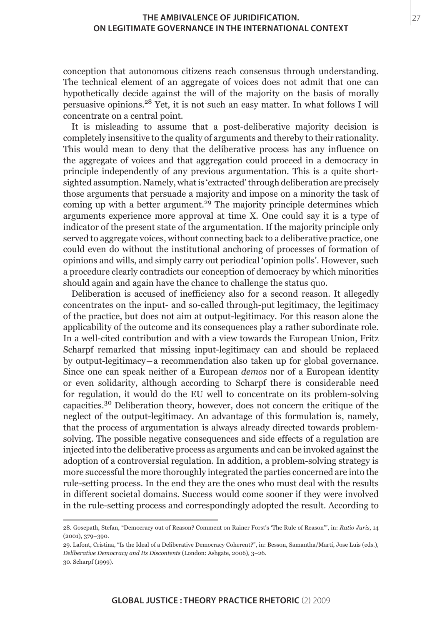conception that autonomous citizens reach consensus through understanding. The technical element of an aggregate of voices does not admit that one can hypothetically decide against the will of the majority on the basis of morally persuasive opinions.28 Yet, it is not such an easy matter. In what follows I will concentrate on a central point.

It is misleading to assume that a post-deliberative majority decision is completely insensitive to the quality of arguments and thereby to their rationality. This would mean to deny that the deliberative process has any influence on the aggregate of voices and that aggregation could proceed in a democracy in principle independently of any previous argumentation. This is a quite shortsighted assumption. Namely, what is 'extracted' through deliberation are precisely those arguments that persuade a majority and impose on a minority the task of coming up with a better argument.<sup>29</sup> The majority principle determines which arguments experience more approval at time X. One could say it is a type of indicator of the present state of the argumentation. If the majority principle only served to aggregate voices, without connecting back to a deliberative practice, one could even do without the institutional anchoring of processes of formation of opinions and wills, and simply carry out periodical 'opinion polls'. However, such a procedure clearly contradicts our conception of democracy by which minorities should again and again have the chance to challenge the status quo.

Deliberation is accused of inefficiency also for a second reason. It allegedly concentrates on the input- and so-called through-put legitimacy, the legitimacy of the practice, but does not aim at output-legitimacy. For this reason alone the applicability of the outcome and its consequences play a rather subordinate role. In a well-cited contribution and with a view towards the European Union, Fritz Scharpf remarked that missing input-legitimacy can and should be replaced by output-legitimacy―a recommendation also taken up for global governance. Since one can speak neither of a European *demos* nor of a European identity or even solidarity, although according to Scharpf there is considerable need for regulation, it would do the EU well to concentrate on its problem-solving capacities.30 Deliberation theory, however, does not concern the critique of the neglect of the output-legitimacy. An advantage of this formulation is, namely, that the process of argumentation is always already directed towards problemsolving. The possible negative consequences and side effects of a regulation are injected into the deliberative process as arguments and can be invoked against the adoption of a controversial regulation. In addition, a problem-solving strategy is more successful the more thoroughly integrated the parties concerned are into the rule-setting process. In the end they are the ones who must deal with the results in different societal domains. Success would come sooner if they were involved in the rule-setting process and correspondingly adopted the result. According to

<sup>28.</sup> Gosepath, Stefan, "Democracy out of Reason? Comment on Rainer Forst's 'The Rule of Reason'", in: *Ratio Juris*, 14 (2001), 379–390.

<sup>29.</sup> Lafont, Cristina, "Is the Ideal of a Deliberative Democracy Coherent?", in: Besson, Samantha/Martí, Jose Luis (eds.), *Deliberative Democracy and Its Discontents* (London: Ashgate, 2006), 3–26. 30. Scharpf (1999).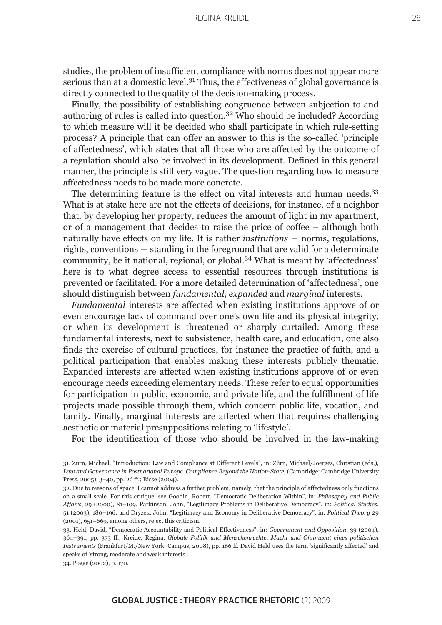studies, the problem of insufficient compliance with norms does not appear more serious than at a domestic level.<sup>31</sup> Thus, the effectiveness of global governance is directly connected to the quality of the decision-making process.

Finally, the possibility of establishing congruence between subjection to and authoring of rules is called into question.<sup>32</sup> Who should be included? According to which measure will it be decided who shall participate in which rule-setting process? A principle that can offer an answer to this is the so-called 'principle of affectedness', which states that all those who are affected by the outcome of a regulation should also be involved in its development. Defined in this general manner, the principle is still very vague. The question regarding how to measure affectedness needs to be made more concrete.

The determining feature is the effect on vital interests and human needs.<sup>33</sup> What is at stake here are not the effects of decisions, for instance, of a neighbor that, by developing her property, reduces the amount of light in my apartment, or of a management that decides to raise the price of coffee – although both naturally have effects on my life. It is rather *institutions* ― norms, regulations, rights, conventions ― standing in the foreground that are valid for a determinate community, be it national, regional, or global.34 What is meant by 'affectedness' here is to what degree access to essential resources through institutions is prevented or facilitated. For a more detailed determination of 'affectedness', one should distinguish between *fundamental*, *expanded* and *marginal* interests.

*Fundamental* interests are affected when existing institutions approve of or even encourage lack of command over one's own life and its physical integrity, or when its development is threatened or sharply curtailed. Among these fundamental interests, next to subsistence, health care, and education, one also finds the exercise of cultural practices, for instance the practice of faith, and a political participation that enables making these interests publicly thematic. Expanded interests are affected when existing institutions approve of or even encourage needs exceeding elementary needs. These refer to equal opportunities for participation in public, economic, and private life, and the fulfillment of life projects made possible through them, which concern public life, vocation, and family. Finally, marginal interests are affected when that requires challenging aesthetic or material presuppositions relating to 'lifestyle'.

For the identification of those who should be involved in the law-making

<sup>31.</sup> Zürn, Michael, "Introduction: Law and Compliance at Different Levels", in: Zürn, Michael/Joerges, Christian (eds.), *Law and Governance in Postnational Europe. Compliance Beyond the Nation-State*, (Cambridge: Cambridge University Press, 2005), 3–40, pp. 26 ff.; Risse (2004).

<sup>32.</sup> Due to reasons of space, I cannot address a further problem, namely, that the principle of affectedness only functions on a small scale. For this critique, see Goodin, Robert, "Democratic Deliberation Within", in: *Philosophy and Public Affairs*, 29 (2000), 81–109. Parkinson, John, "Legitimacy Problems in Deliberative Democracy", in: *Political Studies*, 51 (2003), 180–196; and Dryzek, John, "Legitimacy and Economy in Deliberative Democracy", in: *Political Theory* 29 (2001), 651–669, among others, reject this criticism.

<sup>33.</sup> Held, David, "Democratic Accountability and Political Effectiveness", in: *Government and Opposition*, 39 (2004), 364–391, pp. 373 ff.; Kreide, Regina, *Globale Politik und Menschenrechte. Macht und Ohnmacht eines politischen Instruments* (Frankfurt/M./New York: Campus, 2008), pp. 166 ff. David Held uses the term 'significantly affected' and speaks of 'strong, moderate and weak interests'.

<sup>34.</sup> Pogge (2002), p. 170.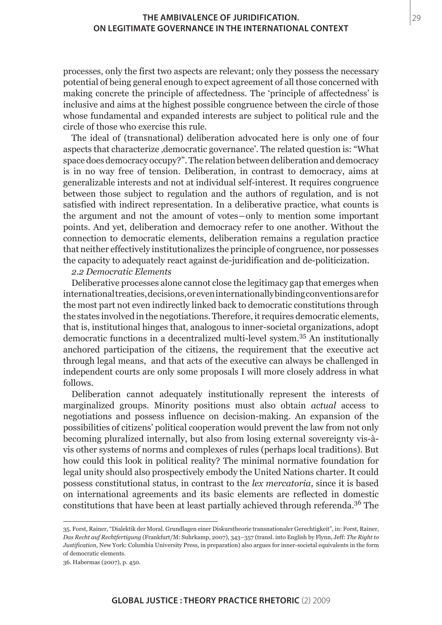processes, only the first two aspects are relevant; only they possess the necessary potential of being general enough to expect agreement of all those concerned with making concrete the principle of affectedness. The 'principle of affectedness' is inclusive and aims at the highest possible congruence between the circle of those whose fundamental and expanded interests are subject to political rule and the circle of those who exercise this rule.

The ideal of (transnational) deliberation advocated here is only one of four aspects that characterize, democratic governance'. The related question is: "What space does democracy occupy?". The relation between deliberation and democracy is in no way free of tension. Deliberation, in contrast to democracy, aims at generalizable interests and not at individual self-interest. It requires congruence between those subject to regulation and the authors of regulation, and is not satisfied with indirect representation. In a deliberative practice, what counts is the argument and not the amount of votes―only to mention some important points. And yet, deliberation and democracy refer to one another. Without the connection to democratic elements, deliberation remains a regulation practice that neither effectively institutionalizes the principle of congruence, nor possesses the capacity to adequately react against de-juridification and de-politicization.

# *2.2 Democratic Elements*

Deliberative processes alone cannot close the legitimacy gap that emerges when international treaties, decisions, or even internationally binding conventions are for the most part not even indirectly linked back to democratic constitutions through the states involved in the negotiations. Therefore, it requires democratic elements, that is, institutional hinges that, analogous to inner-societal organizations, adopt democratic functions in a decentralized multi-level system.35 An institutionally anchored participation of the citizens, the requirement that the executive act through legal means, and that acts of the executive can always be challenged in independent courts are only some proposals I will more closely address in what follows.

Deliberation cannot adequately institutionally represent the interests of marginalized groups. Minority positions must also obtain *actual* access to negotiations and possess influence on decision-making. An expansion of the possibilities of citizens' political cooperation would prevent the law from not only becoming pluralized internally, but also from losing external sovereignty vis-àvis other systems of norms and complexes of rules (perhaps local traditions). But how could this look in political reality? The minimal normative foundation for legal unity should also prospectively embody the United Nations charter. It could possess constitutional status, in contrast to the *lex mercatoria*, since it is based on international agreements and its basic elements are reflected in domestic constitutions that have been at least partially achieved through referenda.36 The

<sup>35.</sup> Forst, Rainer, "Dialektik der Moral. Grundlagen einer Diskurstheorie transnationaler Gerechtigkeit", in: Forst, Rainer, *Das Recht auf Rechtfertigung* (Frankfurt/M: Suhrkamp, 2007), 343–357 (transl. into English by Flynn, Jeff: *The Right to Justification*, New York: Columbia University Press, in preparation) also argues for inner-societal equivalents in the form of democratic elements.

<sup>36.</sup> Habermas (2007), p. 450.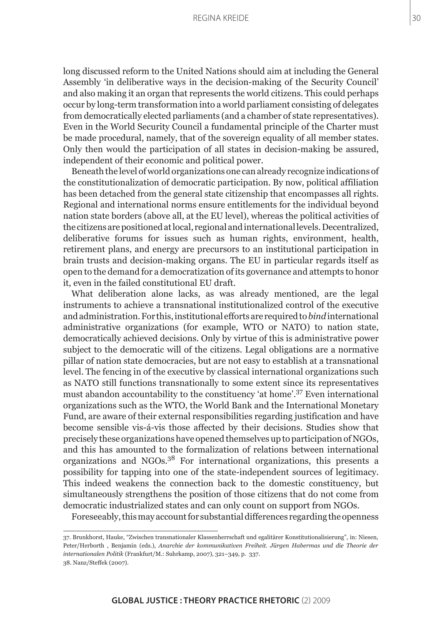#### Regina Kreide

long discussed reform to the United Nations should aim at including the General Assembly 'in deliberative ways in the decision-making of the Security Council' and also making it an organ that represents the world citizens. This could perhaps occur by long-term transformation into a world parliament consisting of delegates from democratically elected parliaments (and a chamber of state representatives). Even in the World Security Council a fundamental principle of the Charter must be made procedural, namely, that of the sovereign equality of all member states. Only then would the participation of all states in decision-making be assured, independent of their economic and political power.

Beneath the level of world organizations one can already recognize indications of the constitutionalization of democratic participation. By now, political affiliation has been detached from the general state citizenship that encompasses all rights. Regional and international norms ensure entitlements for the individual beyond nation state borders (above all, at the EU level), whereas the political activities of the citizens are positioned at local, regional and international levels. Decentralized, deliberative forums for issues such as human rights, environment, health, retirement plans, and energy are precursors to an institutional participation in brain trusts and decision-making organs. The EU in particular regards itself as open to the demand for a democratization of its governance and attempts to honor it, even in the failed constitutional EU draft.

What deliberation alone lacks, as was already mentioned, are the legal instruments to achieve a transnational institutionalized control of the executive and administration. For this, institutional efforts are required to *bind* international administrative organizations (for example, WTO or NATO) to nation state, democratically achieved decisions. Only by virtue of this is administrative power subject to the democratic will of the citizens. Legal obligations are a normative pillar of nation state democracies, but are not easy to establish at a transnational level. The fencing in of the executive by classical international organizations such as NATO still functions transnationally to some extent since its representatives must abandon accountability to the constituency 'at home'.37 Even international organizations such as the WTO, the World Bank and the International Monetary Fund, are aware of their external responsibilities regarding justification and have become sensible vis-á-vis those affected by their decisions. Studies show that precisely these organizations have opened themselves up to participation of NGOs, and this has amounted to the formalization of relations between international organizations and NGOs.38 For international organizations, this presents a possibility for tapping into one of the state-independent sources of legitimacy. This indeed weakens the connection back to the domestic constituency, but simultaneously strengthens the position of those citizens that do not come from democratic industrialized states and can only count on support from NGOs.

Foreseeably, this may account for substantial differences regarding the openness

<sup>37.</sup> Brunkhorst, Hauke, "Zwischen transnationaler Klassenherrschaft und egalitärer Konstitutionalisierung", in: Niesen, Peter/Herborth , Benjamin (eds.), *Anarchie der kommunikativen Freiheit. Jürgen Habermas und die Theorie der internationalen Politik* (Frankfurt/M.: Suhrkamp, 2007), 321–349, p. 337. 38. Nanz/Steffek (2007).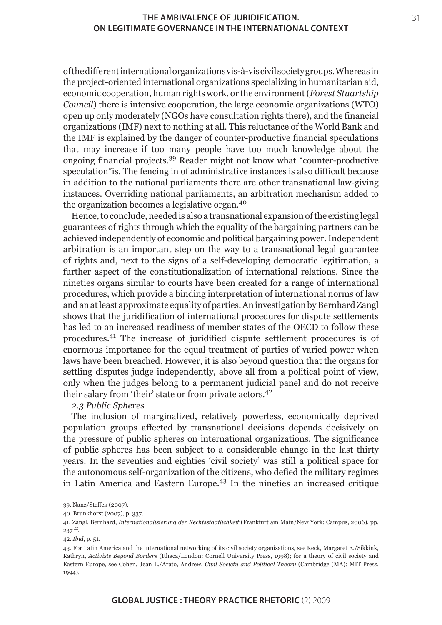of the different international organizations vis-à-vis civil society groups. Whereas in the project-oriented international organizations specializing in humanitarian aid, economic cooperation, human rights work, or the environment (*Forest Stuartship Council*) there is intensive cooperation, the large economic organizations (WTO) open up only moderately (NGOs have consultation rights there), and the financial organizations (IMF) next to nothing at all. This reluctance of the World Bank and the IMF is explained by the danger of counter-productive financial speculations that may increase if too many people have too much knowledge about the ongoing financial projects.39 Reader might not know what "counter-productive speculation"is. The fencing in of administrative instances is also difficult because in addition to the national parliaments there are other transnational law-giving instances. Overriding national parliaments, an arbitration mechanism added to the organization becomes a legislative organ.<sup>40</sup>

Hence, to conclude, needed is also a transnational expansion of the existing legal guarantees of rights through which the equality of the bargaining partners can be achieved independently of economic and political bargaining power. Independent arbitration is an important step on the way to a transnational legal guarantee of rights and, next to the signs of a self-developing democratic legitimation, a further aspect of the constitutionalization of international relations. Since the nineties organs similar to courts have been created for a range of international procedures, which provide a binding interpretation of international norms of law and an at least approximate equality of parties. An investigation by Bernhard Zangl shows that the juridification of international procedures for dispute settlements has led to an increased readiness of member states of the OECD to follow these procedures.41 The increase of juridified dispute settlement procedures is of enormous importance for the equal treatment of parties of varied power when laws have been breached. However, it is also beyond question that the organs for settling disputes judge independently, above all from a political point of view, only when the judges belong to a permanent judicial panel and do not receive their salary from 'their' state or from private actors.<sup>42</sup>

## *2.3 Public Spheres*

The inclusion of marginalized, relatively powerless, economically deprived population groups affected by transnational decisions depends decisively on the pressure of public spheres on international organizations. The significance of public spheres has been subject to a considerable change in the last thirty years. In the seventies and eighties 'civil society' was still a political space for the autonomous self-organization of the citizens, who defied the military regimes in Latin America and Eastern Europe.43 In the nineties an increased critique 31

<sup>39.</sup> Nanz/Steffek (2007).

<sup>40.</sup> Brunkhorst (2007), p. 337.

<sup>41.</sup> Zangl, Bernhard, *Internationalisierung der Rechtsstaatlichkeit* (Frankfurt am Main/New York: Campus, 2006), pp. 237 ff.

<sup>42.</sup> *Ibid*, p. 51.

<sup>43.</sup> For Latin America and the international networking of its civil society organisations, see Keck, Margaret E./Sikkink, Kathryn, *Activists Beyond Borders* (Ithaca/London: Cornell University Press, 1998); for a theory of civil society and Eastern Europe, see Cohen, Jean L./Arato, Andrew, *Civil Society and Political Theory* (Cambridge (MA): MIT Press, 1994).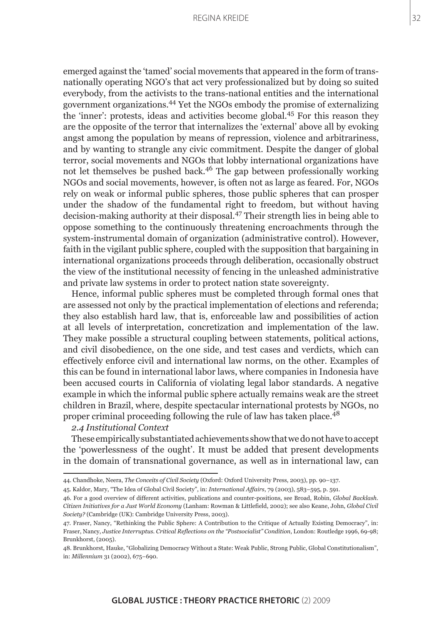32

emerged against the 'tamed' social movements that appeared in the form of transnationally operating NGO's that act very professionalized but by doing so suited everybody, from the activists to the trans-national entities and the international government organizations.44 Yet the NGOs embody the promise of externalizing the 'inner': protests, ideas and activities become global.45 For this reason they are the opposite of the terror that internalizes the 'external' above all by evoking angst among the population by means of repression, violence and arbitrariness, and by wanting to strangle any civic commitment. Despite the danger of global terror, social movements and NGOs that lobby international organizations have not let themselves be pushed back.46 The gap between professionally working NGOs and social movements, however, is often not as large as feared. For, NGOs rely on weak or informal public spheres, those public spheres that can prosper under the shadow of the fundamental right to freedom, but without having decision-making authority at their disposal.47 Their strength lies in being able to oppose something to the continuously threatening encroachments through the system-instrumental domain of organization (administrative control). However, faith in the vigilant public sphere, coupled with the supposition that bargaining in international organizations proceeds through deliberation, occasionally obstruct the view of the institutional necessity of fencing in the unleashed administrative and private law systems in order to protect nation state sovereignty.

Hence, informal public spheres must be completed through formal ones that are assessed not only by the practical implementation of elections and referenda; they also establish hard law, that is, enforceable law and possibilities of action at all levels of interpretation, concretization and implementation of the law. They make possible a structural coupling between statements, political actions, and civil disobedience, on the one side, and test cases and verdicts, which can effectively enforce civil and international law norms, on the other. Examples of this can be found in international labor laws, where companies in Indonesia have been accused courts in California of violating legal labor standards. A negative example in which the informal public sphere actually remains weak are the street children in Brazil, where, despite spectacular international protests by NGOs, no proper criminal proceeding following the rule of law has taken place.<sup>48</sup>

# *2.4 Institutional Context*

These empirically substantiated achievements show that we do not have to accept the 'powerlessness of the ought'. It must be added that present developments in the domain of transnational governance, as well as in international law, can

45. Kaldor, Mary, "The Idea of Global Civil Society", in: *International Affairs*, 79 (2003), 583–595, p. 591.

<sup>44.</sup> Chandhoke, Neera, *The Conceits of Civil Society* (Oxford: Oxford University Press, 2003), pp. 90–137.

<sup>46.</sup> For a good overview of different activities, publications and counter-positions, see Broad, Robin, *Global Backlash. Citizen Initiatives for a Just World Economy* (Lanham: Rowman & Littlefield, 2002); see also Keane, John, *Global Civil Society?* (Cambridge (UK): Cambridge University Press, 2003).

<sup>47.</sup> Fraser, Nancy, "Rethinking the Public Sphere: A Contribution to the Critique of Actually Existing Democracy", in: Fraser, Nancy, *Justice Interruptus. Critical Reflections on the "Postsocialist" Condition*, London: Routledge 1996, 69-98; Brunkhorst, (2005).

<sup>48.</sup> Brunkhorst, Hauke, "Globalizing Democracy Without a State: Weak Public, Strong Public, Global Constitutionalism", in: *Millennium* 31 (2002), 675–690.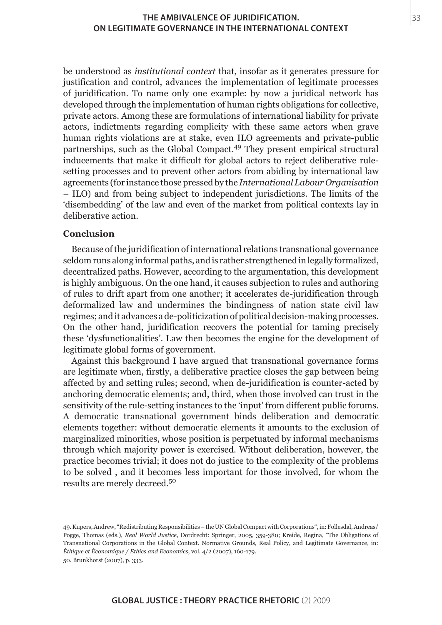be understood as *institutional context* that, insofar as it generates pressure for justification and control, advances the implementation of legitimate processes of juridification. To name only one example: by now a juridical network has developed through the implementation of human rights obligations for collective, private actors. Among these are formulations of international liability for private actors, indictments regarding complicity with these same actors when grave human rights violations are at stake, even ILO agreements and private-public partnerships, such as the Global Compact.49 They present empirical structural inducements that make it difficult for global actors to reject deliberative rulesetting processes and to prevent other actors from abiding by international law agreements (for instance those pressed by the *International Labour Organisation* – ILO) and from being subject to independent jurisdictions. The limits of the 'disembedding' of the law and even of the market from political contexts lay in deliberative action.

## **Conclusion**

Because of the juridification of international relations transnational governance seldom runs along informal paths, and is rather strengthened in legally formalized, decentralized paths. However, according to the argumentation, this development is highly ambiguous. On the one hand, it causes subjection to rules and authoring of rules to drift apart from one another; it accelerates de-juridification through deformalized law and undermines the bindingness of nation state civil law regimes; and it advances a de-politicization of political decision-making processes. On the other hand, juridification recovers the potential for taming precisely these 'dysfunctionalities'. Law then becomes the engine for the development of legitimate global forms of government.

Against this background I have argued that transnational governance forms are legitimate when, firstly, a deliberative practice closes the gap between being affected by and setting rules; second, when de-juridification is counter-acted by anchoring democratic elements; and, third, when those involved can trust in the sensitivity of the rule-setting instances to the 'input' from different public forums. A democratic transnational government binds deliberation and democratic elements together: without democratic elements it amounts to the exclusion of marginalized minorities, whose position is perpetuated by informal mechanisms through which majority power is exercised. Without deliberation, however, the practice becomes trivial; it does not do justice to the complexity of the problems to be solved , and it becomes less important for those involved, for whom the results are merely decreed.<sup>50</sup>

49. Kupers, Andrew, "Redistributing Responsibilities – the UN Global Compact with Corporations", in: Follesdal, Andreas/ Pogge, Thomas (eds.), *Real World Justice*, Dordrecht: Springer, 2005, 359-380; Kreide, Regina, "The Obligations of Transnational Corporations in the Global Context. Normative Grounds, Real Policy, and Legitimate Governance, in: *Èthique et Èconomique / Ethics and Economics*, vol. 4/2 (2007), 160-179. 50. Brunkhorst (2007), p. 333.